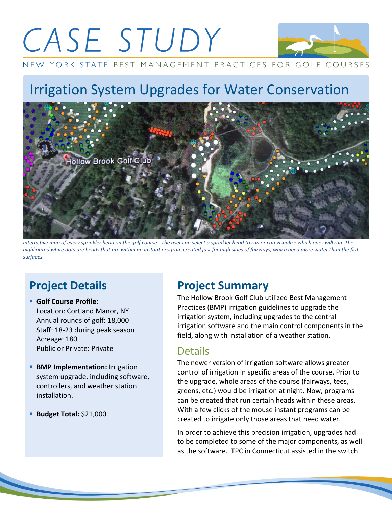# CASE STUDY



NEW YORK STATE BEST MANAGEMENT PRACTICES FOR GOLF COURSES

# Irrigation System Upgrades for Water Conservation



*Interactive map of every sprinkler head on the golf course. The user can select a sprinkler head to run or can visualize which ones will run. The highlighted white dots are heads that are within an instant program created just for high sides of fairways, which need more water than the flat surfaces.* 

## **Project Details**

- **Golf Course Profile:** Location: Cortland Manor, NY Annual rounds of golf: 18,000 Staff: 18-23 during peak season Acreage: 180 Public or Private: Private
- **BMP Implementation: Irrigation** system upgrade, including software, controllers, and weather station installation.
- **Budget Total: \$21,000**

### **Project Summary**

The Hollow Brook Golf Club utilized Best Management Practices (BMP) irrigation guidelines to upgrade the irrigation system, including upgrades to the central irrigation software and the main control components in the field, along with installation of a weather station.

#### Details

The newer version of irrigation software allows greater control of irrigation in specific areas of the course. Prior to the upgrade, whole areas of the course (fairways, tees, greens, etc.) would be irrigation at night. Now, programs can be created that run certain heads within these areas. With a few clicks of the mouse instant programs can be created to irrigate only those areas that need water.

In order to achieve this precision irrigation, upgrades had to be completed to some of the major components, as well as the software. TPC in Connecticut assisted in the switch